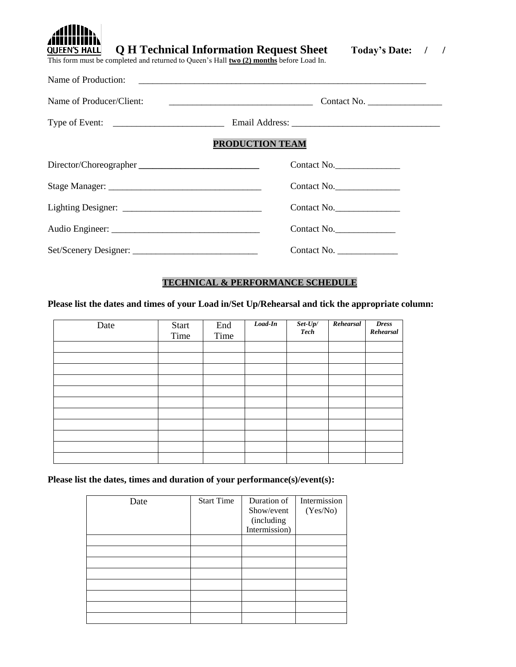| adillin.<br>ANIINININ<br><b>Q H Technical Information Request Sheet</b><br><b>QUEEN'S HALL</b><br>This form must be completed and returned to Queen's Hall two (2) months before Load In. | <b>Today's Date:</b> |  |
|-------------------------------------------------------------------------------------------------------------------------------------------------------------------------------------------|----------------------|--|
| Name of Production:                                                                                                                                                                       |                      |  |

| Name of Producer/Client:                                          | Contact No.     |
|-------------------------------------------------------------------|-----------------|
| Type of Event: $\frac{1}{\sqrt{1-\frac{1}{2}} \cdot \frac{1}{2}}$ |                 |
|                                                                   | PRODUCTION TEAM |
| Director/Choreographer                                            | Contact No.     |
|                                                                   | Contact No.     |
|                                                                   | Contact No.     |
|                                                                   | Contact No.     |
|                                                                   | Contact No.     |

# **TECHNICAL & PERFORMANCE SCHEDULE**

**Please list the dates and times of your Load in/Set Up/Rehearsal and tick the appropriate column:**

| Date | Start<br>Time | End<br>Time | $Load-In$ | $\operatorname{\it Set-Up}/$<br><b>Tech</b> | Rehearsal | <b>Dress</b><br>Rehearsal |
|------|---------------|-------------|-----------|---------------------------------------------|-----------|---------------------------|
|      |               |             |           |                                             |           |                           |
|      |               |             |           |                                             |           |                           |
|      |               |             |           |                                             |           |                           |
|      |               |             |           |                                             |           |                           |
|      |               |             |           |                                             |           |                           |
|      |               |             |           |                                             |           |                           |
|      |               |             |           |                                             |           |                           |
|      |               |             |           |                                             |           |                           |
|      |               |             |           |                                             |           |                           |
|      |               |             |           |                                             |           |                           |
|      |               |             |           |                                             |           |                           |

**Please list the dates, times and duration of your performance(s)/event(s):**

| Date | <b>Start Time</b> | Duration of   | Intermission |
|------|-------------------|---------------|--------------|
|      |                   | Show/event    | (Yes/No)     |
|      |                   | (including    |              |
|      |                   | Intermission) |              |
|      |                   |               |              |
|      |                   |               |              |
|      |                   |               |              |
|      |                   |               |              |
|      |                   |               |              |
|      |                   |               |              |
|      |                   |               |              |
|      |                   |               |              |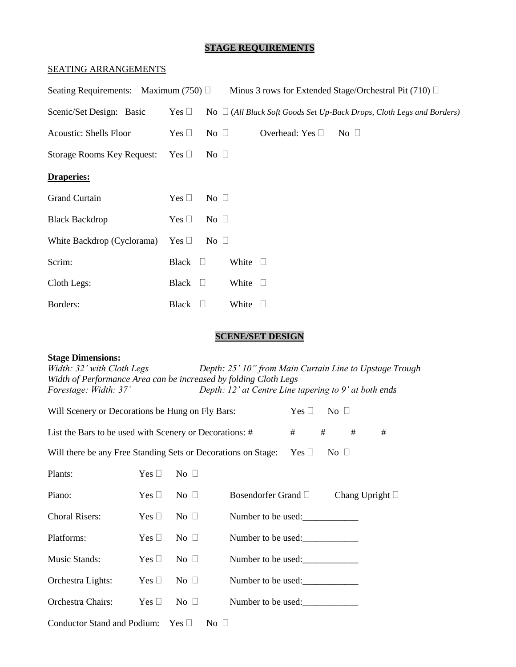# **STAGE REQUIREMENTS**

### SEATING ARRANGEMENTS

| Seating Requirements: Maximum (750) $\Box$ |                 |              |                 |                         | Minus 3 rows for Extended Stage/Orchestral Pit (710) □                     |
|--------------------------------------------|-----------------|--------------|-----------------|-------------------------|----------------------------------------------------------------------------|
| Scenic/Set Design: Basic                   | Yes $\square$   |              |                 |                         | No $\Box$ (All Black Soft Goods Set Up-Back Drops, Cloth Legs and Borders) |
| <b>Acoustic: Shells Floor</b>              | Yes $\square$   | No $\Box$    |                 | Overhead: Yes $\square$ | $\overline{N_0}$                                                           |
| <b>Storage Rooms Key Request:</b>          | Yes $\square$   | No $\square$ |                 |                         |                                                                            |
| <b>Draperies:</b>                          |                 |              |                 |                         |                                                                            |
| <b>Grand Curtain</b>                       | Yes $\square$   | No $\square$ |                 |                         |                                                                            |
| <b>Black Backdrop</b>                      | Yes $\square$   | No $\square$ |                 |                         |                                                                            |
| White Backdrop (Cyclorama)                 | Yes $\square$   | No $\square$ |                 |                         |                                                                            |
| Scrim:                                     | Black $\square$ |              | White $\square$ |                         |                                                                            |
| Cloth Legs:                                | Black $\square$ |              | White $\square$ |                         |                                                                            |
| Borders:                                   | Black           | - 1          | White $\square$ |                         |                                                                            |

# **SCENE/SET DESIGN**

# **Stage Dimensions:**

| Width: 32' with Cloth Legs                                       | Depth: 25' 10" from Main Curtain Line to Upstage Trough |
|------------------------------------------------------------------|---------------------------------------------------------|
| Width of Performance Area can be increased by folding Cloth Legs |                                                         |
| Forestage: Width: 37'                                            | Depth: $12'$ at Centre Line tapering to 9' at both ends |

| Will Scenery or Decorations be Hung on Fly Bars:<br>No $\square$<br>$Yes \sqcup$ |               |                   |                     |  |                      |                      |   |
|----------------------------------------------------------------------------------|---------------|-------------------|---------------------|--|----------------------|----------------------|---|
| #<br>#<br>List the Bars to be used with Scenery or Decorations: #                |               |                   |                     |  |                      | #                    | # |
| Will there be any Free Standing Sets or Decorations on Stage:                    |               |                   |                     |  | $Yes \Box$ No $\Box$ |                      |   |
| Plants:                                                                          | Yes $\Box$    | No $\Box$         |                     |  |                      |                      |   |
| Piano:                                                                           | Yes $\square$ | $\rm No \ \sqcup$ | Bosendorfer Grand □ |  |                      | Chang Upright $\Box$ |   |
| <b>Choral Risers:</b>                                                            | $Yes \sqcup$  | $\rm No$ $\Box$   | Number to be used:  |  |                      |                      |   |
| Platforms:                                                                       | Yes $\Box$    | No $\Box$         | Number to be used:  |  |                      |                      |   |
| Music Stands:                                                                    | Yes $\square$ | No $\square$      | Number to be used:  |  |                      |                      |   |
| Orchestra Lights:                                                                | Yes $\square$ | No $\square$      | Number to be used:  |  |                      |                      |   |
| Orchestra Chairs:                                                                | Yes $\Box$    | $No \square$      | Number to be used:  |  |                      |                      |   |
| Conductor Stand and Podium: $Yes \Box$                                           |               | $\rm No$ $\Box$   |                     |  |                      |                      |   |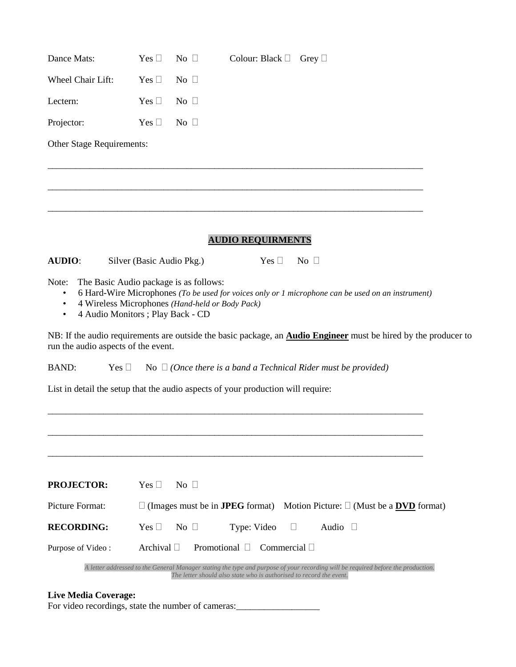| Dance Mats:               | Yes $\square$ | No $\Box$ | Colour: Black $\Box$ Grey $\Box$ |  |
|---------------------------|---------------|-----------|----------------------------------|--|
| Wheel Chair Lift:         | Yes $\Box$    | No $\Box$ |                                  |  |
| Lectern:                  | Yes $\square$ | No $\Box$ |                                  |  |
| Projector:                | Yes $\Box$    | No $\Box$ |                                  |  |
| Other Stage Requirements: |               |           |                                  |  |
|                           |               |           |                                  |  |

### **AUDIO REQUIRMENTS**

**AUDIO**: Silver (Basic Audio Pkg.) Yes  $\Box$  No  $\Box$ 

Note: The Basic Audio package is as follows:

• 6 Hard-Wire Microphones *(To be used for voices only or 1 microphone can be used on an instrument)*

\_\_\_\_\_\_\_\_\_\_\_\_\_\_\_\_\_\_\_\_\_\_\_\_\_\_\_\_\_\_\_\_\_\_\_\_\_\_\_\_\_\_\_\_\_\_\_\_\_\_\_\_\_\_\_\_\_\_\_\_\_\_\_\_\_\_\_\_\_\_\_\_\_\_\_\_\_\_\_\_\_

\_\_\_\_\_\_\_\_\_\_\_\_\_\_\_\_\_\_\_\_\_\_\_\_\_\_\_\_\_\_\_\_\_\_\_\_\_\_\_\_\_\_\_\_\_\_\_\_\_\_\_\_\_\_\_\_\_\_\_\_\_\_\_\_\_\_\_\_\_\_\_\_\_\_\_\_\_\_\_\_\_

- 4 Wireless Microphones *(Hand-held or Body Pack)*
- 4 Audio Monitors ; Play Back CD

NB: If the audio requirements are outside the basic package, an **Audio Engineer** must be hired by the producer to run the audio aspects of the event.

BAND: Yes  $\Box$  No  $\Box$  *(Once there is a band a Technical Rider must be provided)* 

\_\_\_\_\_\_\_\_\_\_\_\_\_\_\_\_\_\_\_\_\_\_\_\_\_\_\_\_\_\_\_\_\_\_\_\_\_\_\_\_\_\_\_\_\_\_\_\_\_\_\_\_\_\_\_\_\_\_\_\_\_\_\_\_\_\_\_\_\_\_\_\_\_\_\_\_\_\_\_\_\_

\_\_\_\_\_\_\_\_\_\_\_\_\_\_\_\_\_\_\_\_\_\_\_\_\_\_\_\_\_\_\_\_\_\_\_\_\_\_\_\_\_\_\_\_\_\_\_\_\_\_\_\_\_\_\_\_\_\_\_\_\_\_\_\_\_\_\_\_\_\_\_\_\_\_\_\_\_\_\_\_\_

List in detail the setup that the audio aspects of your production will require:

| <b>PROJECTOR:</b> | $Yes \perp$<br>$\overline{N_{O}}$                                                                                                                                                                       |
|-------------------|---------------------------------------------------------------------------------------------------------------------------------------------------------------------------------------------------------|
| Picture Format:   | $\Box$ (Images must be in <b>JPEG</b> format) Motion Picture: $\Box$ (Must be a <b>DVD</b> format)                                                                                                      |
| <b>RECORDING:</b> | Yes $\Box$<br>$\rm No$ $\Box$<br>Type: Video $\square$<br>Audio                                                                                                                                         |
| Purpose of Video: | Archival $\Box$<br>Promotional<br>Commercial    <br>$\Box$                                                                                                                                              |
|                   | A letter addressed to the General Manager stating the type and purpose of your recording will be required before the production.<br>The letter should also state who is authorised to record the event. |

#### **Live Media Coverage:**

For video recordings, state the number of cameras: